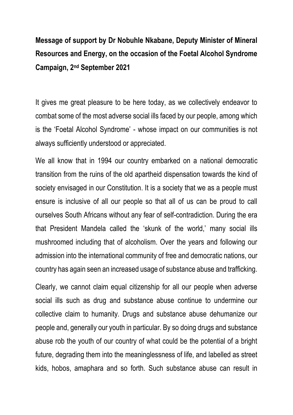## **Message of support by Dr Nobuhle Nkabane, Deputy Minister of Mineral Resources and Energy, on the occasion of the Foetal Alcohol Syndrome Campaign, 2nd September 2021**

It gives me great pleasure to be here today, as we collectively endeavor to combat some of the most adverse social ills faced by our people, among which is the 'Foetal Alcohol Syndrome' - whose impact on our communities is not always sufficiently understood or appreciated.

We all know that in 1994 our country embarked on a national democratic transition from the ruins of the old apartheid dispensation towards the kind of society envisaged in our Constitution. It is a society that we as a people must ensure is inclusive of all our people so that all of us can be proud to call ourselves South Africans without any fear of self-contradiction. During the era that President Mandela called the 'skunk of the world,' many social ills mushroomed including that of alcoholism. Over the years and following our admission into the international community of free and democratic nations, our country has again seen an increased usage of substance abuse and trafficking.

Clearly, we cannot claim equal citizenship for all our people when adverse social ills such as drug and substance abuse continue to undermine our collective claim to humanity. Drugs and substance abuse dehumanize our people and, generally our youth in particular. By so doing drugs and substance abuse rob the youth of our country of what could be the potential of a bright future, degrading them into the meaninglessness of life, and labelled as street kids, hobos, amaphara and so forth. Such substance abuse can result in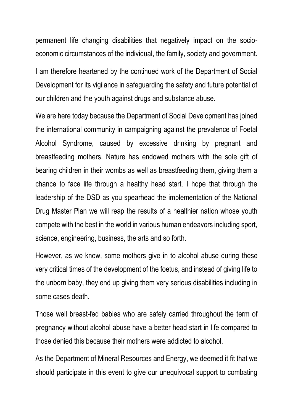permanent life changing disabilities that negatively impact on the socioeconomic circumstances of the individual, the family, society and government.

I am therefore heartened by the continued work of the Department of Social Development for its vigilance in safeguarding the safety and future potential of our children and the youth against drugs and substance abuse.

We are here today because the Department of Social Development has joined the international community in campaigning against the prevalence of Foetal Alcohol Syndrome, caused by excessive drinking by pregnant and breastfeeding mothers. Nature has endowed mothers with the sole gift of bearing children in their wombs as well as breastfeeding them, giving them a chance to face life through a healthy head start. I hope that through the leadership of the DSD as you spearhead the implementation of the National Drug Master Plan we will reap the results of a healthier nation whose youth compete with the best in the world in various human endeavors including sport, science, engineering, business, the arts and so forth.

However, as we know, some mothers give in to alcohol abuse during these very critical times of the development of the foetus, and instead of giving life to the unborn baby, they end up giving them very serious disabilities including in some cases death.

Those well breast-fed babies who are safely carried throughout the term of pregnancy without alcohol abuse have a better head start in life compared to those denied this because their mothers were addicted to alcohol.

As the Department of Mineral Resources and Energy, we deemed it fit that we should participate in this event to give our unequivocal support to combating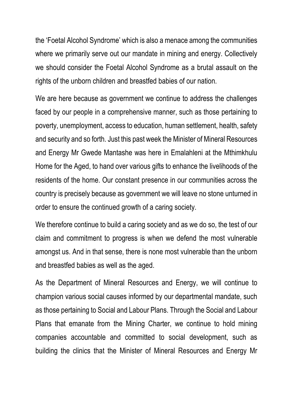the 'Foetal Alcohol Syndrome' which is also a menace among the communities where we primarily serve out our mandate in mining and energy. Collectively we should consider the Foetal Alcohol Syndrome as a brutal assault on the rights of the unborn children and breastfed babies of our nation.

We are here because as government we continue to address the challenges faced by our people in a comprehensive manner, such as those pertaining to poverty, unemployment, access to education, human settlement, health, safety and security and so forth. Just this past week the Minister of Mineral Resources and Energy Mr Gwede Mantashe was here in Emalahleni at the Mthimkhulu Home for the Aged, to hand over various gifts to enhance the livelihoods of the residents of the home. Our constant presence in our communities across the country is precisely because as government we will leave no stone unturned in order to ensure the continued growth of a caring society.

We therefore continue to build a caring society and as we do so, the test of our claim and commitment to progress is when we defend the most vulnerable amongst us. And in that sense, there is none most vulnerable than the unborn and breastfed babies as well as the aged.

As the Department of Mineral Resources and Energy, we will continue to champion various social causes informed by our departmental mandate, such as those pertaining to Social and Labour Plans. Through the Social and Labour Plans that emanate from the Mining Charter, we continue to hold mining companies accountable and committed to social development, such as building the clinics that the Minister of Mineral Resources and Energy Mr